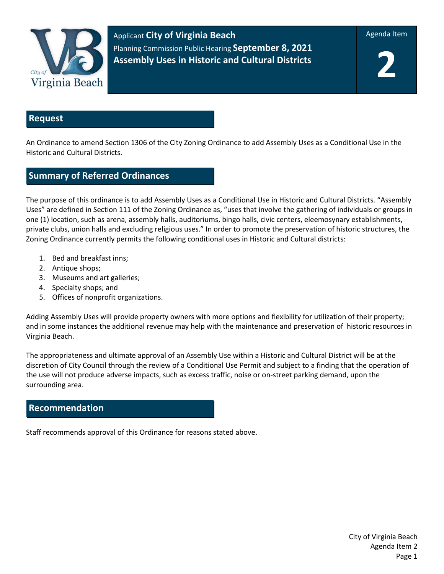

Applicant **City of Virginia Beach** Planning Commission Public Hearing **September 8, 2021 Assembly Uses in Historic and Cultural Districts**

Agenda Item

**2**

## **Request**

An Ordinance to amend Section 1306 of the City Zoning Ordinance to add Assembly Uses as a Conditional Use in the Historic and Cultural Districts.

## **Summary of Referred Ordinances**

The purpose of this ordinance is to add Assembly Uses as a Conditional Use in Historic and Cultural Districts. "Assembly Uses" are defined in Section 111 of the Zoning Ordinance as, "uses that involve the gathering of individuals or groups in one (1) location, such as arena, assembly halls, auditoriums, bingo halls, civic centers, eleemosynary establishments, private clubs, union halls and excluding religious uses." In order to promote the preservation of historic structures, the Zoning Ordinance currently permits the following conditional uses in Historic and Cultural districts:

- 1. Bed and breakfast inns;
- 2. Antique shops;
- 3. Museums and art galleries;
- 4. Specialty shops; and
- 5. Offices of nonprofit organizations.

Adding Assembly Uses will provide property owners with more options and flexibility for utilization of their property; and in some instances the additional revenue may help with the maintenance and preservation of historic resources in Virginia Beach.

The appropriateness and ultimate approval of an Assembly Use within a Historic and Cultural District will be at the discretion of City Council through the review of a Conditional Use Permit and subject to a finding that the operation of the use will not produce adverse impacts, such as excess traffic, noise or on-street parking demand, upon the surrounding area.

## **Recommendation**

Staff recommends approval of this Ordinance for reasons stated above.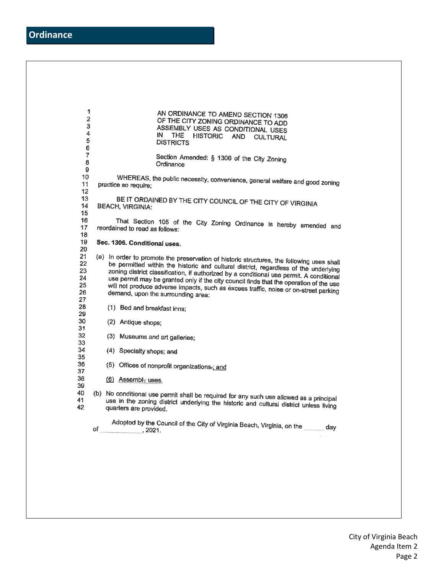| 1<br>$\overline{\mathbf{2}}$<br>3<br>4<br>5<br>6<br>$\overline{7}$<br>8<br>9<br>10<br>11<br>12 <sub>2</sub><br>13<br>14<br>15<br>16<br>17<br>18 |                                                                                                                                                                                                             |                                                                                                                                                                                                                                                                                                                                                                                                                                                                                                       | AN ORDINANCE TO AMEND SECTION 1306<br>OF THE CITY ZONING ORDINANCE TO ADD<br>ASSEMBLY USES AS CONDITIONAL USES<br>ΙN<br>THE.<br>HISTORIC AND<br><b>CULTURAL</b><br><b>DISTRICTS</b> |  |
|-------------------------------------------------------------------------------------------------------------------------------------------------|-------------------------------------------------------------------------------------------------------------------------------------------------------------------------------------------------------------|-------------------------------------------------------------------------------------------------------------------------------------------------------------------------------------------------------------------------------------------------------------------------------------------------------------------------------------------------------------------------------------------------------------------------------------------------------------------------------------------------------|-------------------------------------------------------------------------------------------------------------------------------------------------------------------------------------|--|
|                                                                                                                                                 |                                                                                                                                                                                                             |                                                                                                                                                                                                                                                                                                                                                                                                                                                                                                       | Section Amended: § 1306 of the City Zoning<br>Ordinance                                                                                                                             |  |
|                                                                                                                                                 | WHEREAS, the public necessity, convenience, general welfare and good zoning<br>practice so require;                                                                                                         |                                                                                                                                                                                                                                                                                                                                                                                                                                                                                                       |                                                                                                                                                                                     |  |
|                                                                                                                                                 |                                                                                                                                                                                                             | BE IT ORDAINED BY THE CITY COUNCIL OF THE CITY OF VIRGINIA<br><b>BEACH, VIRGINIA:</b>                                                                                                                                                                                                                                                                                                                                                                                                                 |                                                                                                                                                                                     |  |
|                                                                                                                                                 | That Section 105 of the City Zoning Ordinance is hereby amended and<br>reordained to read as follows:                                                                                                       |                                                                                                                                                                                                                                                                                                                                                                                                                                                                                                       |                                                                                                                                                                                     |  |
| 19<br>20                                                                                                                                        | Sec. 1306. Conditional uses.                                                                                                                                                                                |                                                                                                                                                                                                                                                                                                                                                                                                                                                                                                       |                                                                                                                                                                                     |  |
| 21<br>22<br>23<br>24<br>25<br>26<br>27<br>28<br>29<br>30<br>31<br>32<br>33<br>34<br>35<br>36<br>37<br>38<br>39<br>40<br>41<br>42                |                                                                                                                                                                                                             | (a) In order to promote the preservation of historic structures, the following uses shall<br>be permitted within the historic and cultural district, regardless of the underlying<br>zoning district classification, if authorized by a conditional use permit. A conditional<br>use permit may be granted only if the city council finds that the operation of the use<br>will not produce adverse impacts, such as excess traffic, noise or on-street parking<br>demand, upon the surrounding area: |                                                                                                                                                                                     |  |
|                                                                                                                                                 |                                                                                                                                                                                                             |                                                                                                                                                                                                                                                                                                                                                                                                                                                                                                       | (1) Bed and breakfast inns;                                                                                                                                                         |  |
|                                                                                                                                                 |                                                                                                                                                                                                             |                                                                                                                                                                                                                                                                                                                                                                                                                                                                                                       | (2) Antique shops;                                                                                                                                                                  |  |
|                                                                                                                                                 |                                                                                                                                                                                                             |                                                                                                                                                                                                                                                                                                                                                                                                                                                                                                       | (3) Museums and art galleries;                                                                                                                                                      |  |
|                                                                                                                                                 |                                                                                                                                                                                                             |                                                                                                                                                                                                                                                                                                                                                                                                                                                                                                       | (4) Specialty shops; and                                                                                                                                                            |  |
|                                                                                                                                                 |                                                                                                                                                                                                             |                                                                                                                                                                                                                                                                                                                                                                                                                                                                                                       | (5) Offices of nonprofit organizations-; and                                                                                                                                        |  |
|                                                                                                                                                 |                                                                                                                                                                                                             |                                                                                                                                                                                                                                                                                                                                                                                                                                                                                                       | (6) Assembly uses.                                                                                                                                                                  |  |
|                                                                                                                                                 | (b) No conditional use permit shall be required for any such use allowed as a principal<br>use in the zoning district underlying the historic and cultural district unless living<br>quarters are provided. |                                                                                                                                                                                                                                                                                                                                                                                                                                                                                                       |                                                                                                                                                                                     |  |
|                                                                                                                                                 | of                                                                                                                                                                                                          |                                                                                                                                                                                                                                                                                                                                                                                                                                                                                                       | Adopted by the Council of the City of Virginia Beach, Virginia, on the same day<br>$\sim$ , 2021.                                                                                   |  |
|                                                                                                                                                 |                                                                                                                                                                                                             |                                                                                                                                                                                                                                                                                                                                                                                                                                                                                                       |                                                                                                                                                                                     |  |
|                                                                                                                                                 |                                                                                                                                                                                                             |                                                                                                                                                                                                                                                                                                                                                                                                                                                                                                       |                                                                                                                                                                                     |  |